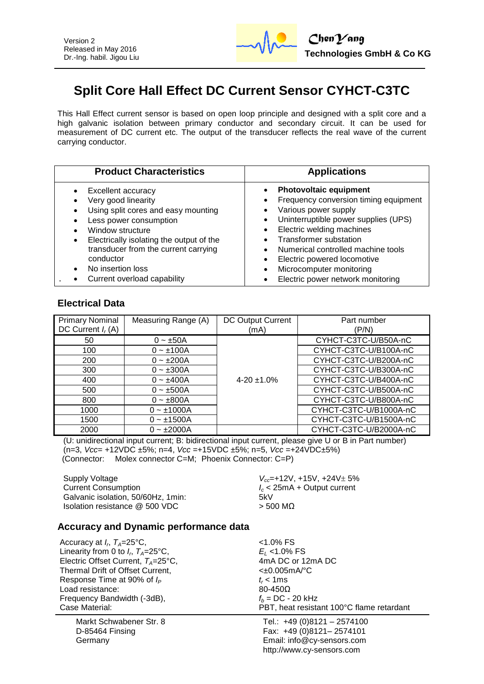

# **Split Core Hall Effect DC Current Sensor CYHCT-C3TC**

This Hall Effect current sensor is based on open loop principle and designed with a split core and a high galvanic isolation between primary conductor and secondary circuit. It can be used for measurement of DC current etc. The output of the transducer reflects the real wave of the current carrying conductor.

| <b>Product Characteristics</b>           | <b>Applications</b>                   |
|------------------------------------------|---------------------------------------|
| Excellent accuracy                       | <b>Photovoltaic equipment</b>         |
| Very good linearity                      | Frequency conversion timing equipment |
| Using split cores and easy mounting      | Various power supply                  |
| Less power consumption                   | Uninterruptible power supplies (UPS)  |
| Window structure                         | Electric welding machines             |
| Electrically isolating the output of the | <b>Transformer substation</b>         |
| transducer from the current carrying     | Numerical controlled machine tools    |
| conductor                                | Electric powered locomotive           |
| No insertion loss                        | Microcomputer monitoring              |
| Current overload capability              | Electric power network monitoring     |

### **Electrical Data**

| <b>Primary Nominal</b><br>DC Current $I_r(A)$ | Measuring Range (A) | DC Output Current<br>(mA) | Part number<br>(P/N)   |
|-----------------------------------------------|---------------------|---------------------------|------------------------|
|                                               |                     |                           |                        |
| 50                                            | $0 - \pm 50A$       |                           | CYHCT-C3TC-U/B50A-nC   |
| 100                                           | $0 - \pm 100A$      |                           | CYHCT-C3TC-U/B100A-nC  |
| 200                                           | $0 - \pm 200A$      |                           | CYHCT-C3TC-U/B200A-nC  |
| 300                                           | $0 - \pm 300A$      |                           | CYHCT-C3TC-U/B300A-nC  |
| 400                                           | $0 - \pm 400A$      | $4-20 \pm 1.0\%$          | CYHCT-C3TC-U/B400A-nC  |
| 500                                           | $0 - \pm 500A$      |                           | CYHCT-C3TC-U/B500A-nC  |
| 800                                           | $0 - \pm 800A$      |                           | CYHCT-C3TC-U/B800A-nC  |
| 1000                                          | $0 - 1000A$         |                           | CYHCT-C3TC-U/B1000A-nC |
| 1500                                          | $0 - \pm 1500A$     |                           | CYHCT-C3TC-U/B1500A-nC |
| 2000                                          | $0 - \pm 2000A$     |                           | CYHCT-C3TC-U/B2000A-nC |

(U: unidirectional input current; B: bidirectional input current, please give U or B in Part number) (n=3, *Vcc*= +12VDC ±5%; n=4, *Vcc* =+15VDC ±5%; n=5, *Vcc* =+24VDC±5%) (Connector: Molex connector C=M; Phoenix Connector: C=P)

Supply Voltage *V<sub>cc</sub>***=+12V, +15V, +24V**  $\pm$  5% Current Consumption *I<sup>c</sup>* < 25mA + Output current Galvanic isolation, 50/60Hz, 1min: 5kV Isolation resistance  $@$  500 VDC  $>$  500 MΩ

### **Accuracy and Dynamic performance data**

Accuracy at  $I_r$ ,  $T_A$ =25°C,  $\hspace{1.6cm}$  <1.0% FS Linearity from 0 to  $I_r$ ,  $T_A = 25^\circ \text{C}$ , Electric Offset Current,  $T_A=25^{\circ}$ C,  $A \cap A$  DC or 12mA DC<br>Thermal Drift of Offset Current. Thermal Drift of Offset Current, Response Time at 90% of  $I_P$  **t**<sub>r</sub> < 1ms t<sub>r</sub> < 1ms 100-4500 Load resistance: Frequency Bandwidth (-3dB),  $f_b = DC - 20 \text{ kHz}$ <br>Case Material: *PBT* heat resista

Markt Schwabener Str. 8 D-85464 Finsing Germany

, *TA*=25°C, *E<sup>L</sup>* <1.0% FS PBT, heat resistant 100°C flame retardant

Tel.: +49 (0)8121 – 2574100 Fax: +49 (0)8121– 2574101 Email: info@cy-sensors.com http://www.cy-sensors.com